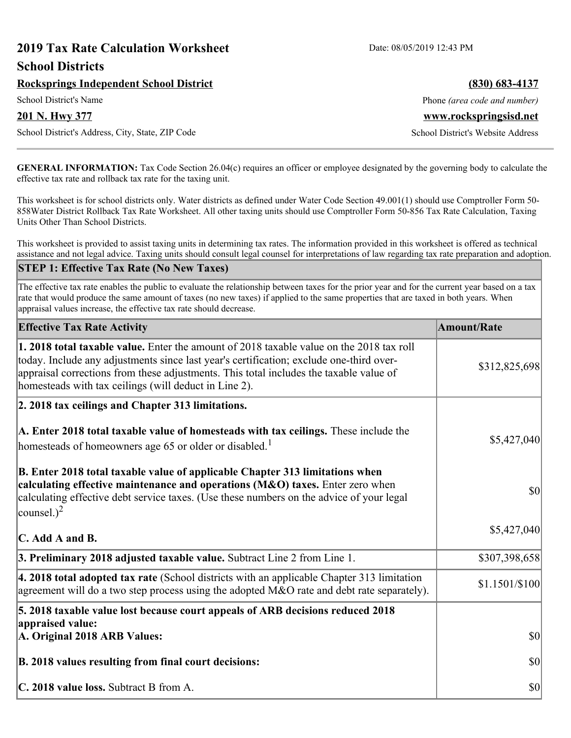# **2019 Tax Rate Calculation Worksheet** Date: 08/05/2019 12:43 PM **School Districts**

**Rocksprings Independent School District (830) 683-4137**

School District's Address, City, State, ZIP Code School District's Website Address

School District's Name **Phone** *(area code and number)* Phone *(area code and number)* 

**201 N. Hwy 377 www.rockspringsisd.net**

**GENERAL INFORMATION:** Tax Code Section 26.04(c) requires an officer or employee designated by the governing body to calculate the effective tax rate and rollback tax rate for the taxing unit.

This worksheet is for school districts only. Water districts as defined under Water Code Section 49.001(1) should use Comptroller Form 50- 858Water District Rollback Tax Rate Worksheet. All other taxing units should use Comptroller Form 50-856 Tax Rate Calculation, Taxing Units Other Than School Districts.

This worksheet is provided to assist taxing units in determining tax rates. The information provided in this worksheet is offered as technical assistance and not legal advice. Taxing units should consult legal counsel for interpretations of law regarding tax rate preparation and adoption.

### **STEP 1: Effective Tax Rate (No New Taxes)**

The effective tax rate enables the public to evaluate the relationship between taxes for the prior year and for the current year based on a tax rate that would produce the same amount of taxes (no new taxes) if applied to the same properties that are taxed in both years. When appraisal values increase, the effective tax rate should decrease.

| <b>Effective Tax Rate Activity</b>                                                                                                                                                                                                                                                                                                            | <b>Amount/Rate</b> |
|-----------------------------------------------------------------------------------------------------------------------------------------------------------------------------------------------------------------------------------------------------------------------------------------------------------------------------------------------|--------------------|
| <b>1. 2018 total taxable value.</b> Enter the amount of 2018 taxable value on the 2018 tax roll<br>today. Include any adjustments since last year's certification; exclude one-third over-<br>appraisal corrections from these adjustments. This total includes the taxable value of<br>homesteads with tax ceilings (will deduct in Line 2). | \$312,825,698      |
| 2. 2018 tax ceilings and Chapter 313 limitations.                                                                                                                                                                                                                                                                                             |                    |
| A. Enter 2018 total taxable value of homesteads with tax ceilings. These include the<br>homesteads of homeowners age 65 or older or disabled. <sup>1</sup>                                                                                                                                                                                    | \$5,427,040        |
| B. Enter 2018 total taxable value of applicable Chapter 313 limitations when<br>calculating effective maintenance and operations (M&O) taxes. Enter zero when<br>calculating effective debt service taxes. (Use these numbers on the advice of your legal<br>$ {\rm countsel.})^2$                                                            | $ 10\rangle$       |
| $\mathbf C$ . Add A and B.                                                                                                                                                                                                                                                                                                                    | \$5,427,040        |
| 3. Preliminary 2018 adjusted taxable value. Subtract Line 2 from Line 1.                                                                                                                                                                                                                                                                      | \$307,398,658      |
| 4. 2018 total adopted tax rate (School districts with an applicable Chapter 313 limitation<br>agreement will do a two step process using the adopted M&O rate and debt rate separately).                                                                                                                                                      | $$1.1501/\$100$    |
| 5. 2018 taxable value lost because court appeals of ARB decisions reduced 2018                                                                                                                                                                                                                                                                |                    |
| appraised value:<br>A. Original 2018 ARB Values:                                                                                                                                                                                                                                                                                              | $ 10\rangle$       |
| B. 2018 values resulting from final court decisions:                                                                                                                                                                                                                                                                                          | 30                 |
| C. 2018 value loss. Subtract B from A.                                                                                                                                                                                                                                                                                                        | $ 10\rangle$       |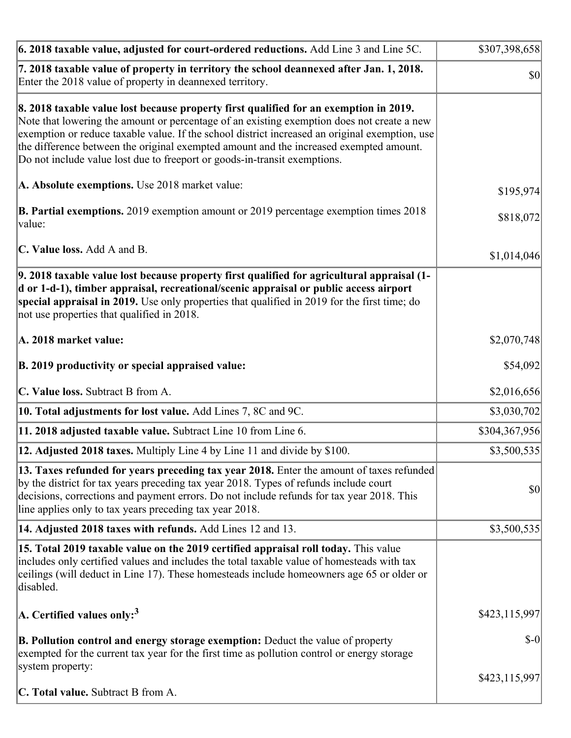| $\vert$ 6. 2018 taxable value, adjusted for court-ordered reductions. Add Line 3 and Line 5C.                                                                                                                                                                                                                                                                                                                                                                | \$307,398,658 |
|--------------------------------------------------------------------------------------------------------------------------------------------------------------------------------------------------------------------------------------------------------------------------------------------------------------------------------------------------------------------------------------------------------------------------------------------------------------|---------------|
| 7. 2018 taxable value of property in territory the school deannexed after Jan. 1, 2018.<br>Enter the 2018 value of property in deannexed territory.                                                                                                                                                                                                                                                                                                          | \$0           |
| 8. 2018 taxable value lost because property first qualified for an exemption in 2019.<br>Note that lowering the amount or percentage of an existing exemption does not create a new<br>exemption or reduce taxable value. If the school district increased an original exemption, use<br>the difference between the original exempted amount and the increased exempted amount.<br>Do not include value lost due to freeport or goods-in-transit exemptions. |               |
| A. Absolute exemptions. Use 2018 market value:                                                                                                                                                                                                                                                                                                                                                                                                               | \$195,974     |
| B. Partial exemptions. 2019 exemption amount or 2019 percentage exemption times 2018<br>$\vert$ value:                                                                                                                                                                                                                                                                                                                                                       | \$818,072     |
| C. Value loss. Add A and B.                                                                                                                                                                                                                                                                                                                                                                                                                                  | \$1,014,046   |
| 9. 2018 taxable value lost because property first qualified for agricultural appraisal (1-<br>d or 1-d-1), timber appraisal, recreational/scenic appraisal or public access airport<br>special appraisal in 2019. Use only properties that qualified in 2019 for the first time; do<br>not use properties that qualified in 2018.                                                                                                                            |               |
| A. 2018 market value:                                                                                                                                                                                                                                                                                                                                                                                                                                        | \$2,070,748   |
| B. 2019 productivity or special appraised value:                                                                                                                                                                                                                                                                                                                                                                                                             | \$54,092      |
| C. Value loss. Subtract B from A.                                                                                                                                                                                                                                                                                                                                                                                                                            | \$2,016,656   |
| 10. Total adjustments for lost value. Add Lines 7, 8C and 9C.                                                                                                                                                                                                                                                                                                                                                                                                | \$3,030,702   |
| 11. 2018 adjusted taxable value. Subtract Line 10 from Line 6.                                                                                                                                                                                                                                                                                                                                                                                               | \$304,367,956 |
| 12. Adjusted 2018 taxes. Multiply Line 4 by Line 11 and divide by \$100.                                                                                                                                                                                                                                                                                                                                                                                     | \$3,500,535   |
| [13. Taxes refunded for years preceding tax year 2018. Enter the amount of taxes refunded]<br>by the district for tax years preceding tax year 2018. Types of refunds include court<br>decisions, corrections and payment errors. Do not include refunds for tax year 2018. This<br>line applies only to tax years preceding tax year 2018.                                                                                                                  | \$0           |
| 14. Adjusted 2018 taxes with refunds. Add Lines 12 and 13.                                                                                                                                                                                                                                                                                                                                                                                                   | \$3,500,535   |
| 15. Total 2019 taxable value on the 2019 certified appraisal roll today. This value<br>includes only certified values and includes the total taxable value of homesteads with tax<br>ceilings (will deduct in Line 17). These homesteads include homeowners age 65 or older or<br>disabled.                                                                                                                                                                  |               |
| $ A$ . Certified values only: <sup>3</sup>                                                                                                                                                                                                                                                                                                                                                                                                                   | \$423,115,997 |
| <b>B. Pollution control and energy storage exemption:</b> Deduct the value of property<br>exempted for the current tax year for the first time as pollution control or energy storage<br>system property:                                                                                                                                                                                                                                                    | $$-0$         |
| <b>C. Total value.</b> Subtract B from A.                                                                                                                                                                                                                                                                                                                                                                                                                    | \$423,115,997 |
|                                                                                                                                                                                                                                                                                                                                                                                                                                                              |               |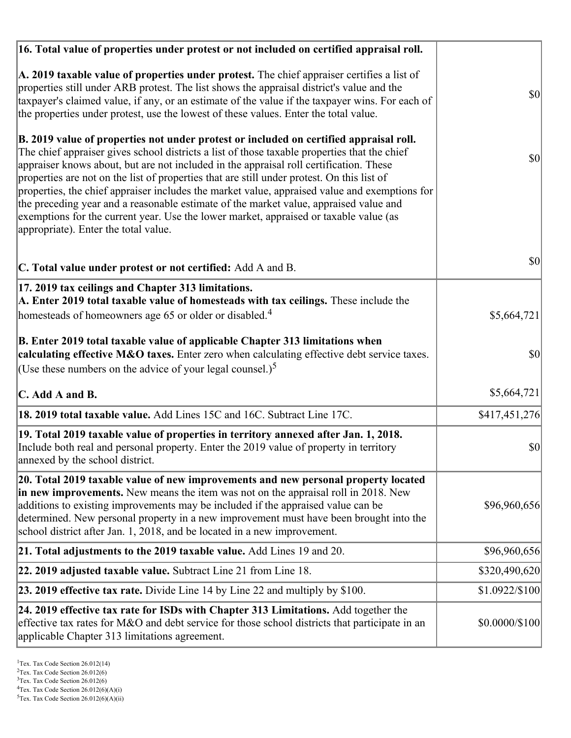| 16. Total value of properties under protest or not included on certified appraisal roll.                                                                                                                                                                                                                                                                                                                                                                                                                                                                                                                                                                                                                  |                |
|-----------------------------------------------------------------------------------------------------------------------------------------------------------------------------------------------------------------------------------------------------------------------------------------------------------------------------------------------------------------------------------------------------------------------------------------------------------------------------------------------------------------------------------------------------------------------------------------------------------------------------------------------------------------------------------------------------------|----------------|
| A. 2019 taxable value of properties under protest. The chief appraiser certifies a list of<br>properties still under ARB protest. The list shows the appraisal district's value and the<br>taxpayer's claimed value, if any, or an estimate of the value if the taxpayer wins. For each of<br>the properties under protest, use the lowest of these values. Enter the total value.                                                                                                                                                                                                                                                                                                                        | $ 10\rangle$   |
| B. 2019 value of properties not under protest or included on certified appraisal roll.<br>The chief appraiser gives school districts a list of those taxable properties that the chief<br>appraiser knows about, but are not included in the appraisal roll certification. These<br>properties are not on the list of properties that are still under protest. On this list of<br>properties, the chief appraiser includes the market value, appraised value and exemptions for<br>the preceding year and a reasonable estimate of the market value, appraised value and<br>exemptions for the current year. Use the lower market, appraised or taxable value (as<br>appropriate). Enter the total value. | \$0            |
| C. Total value under protest or not certified: Add A and B.                                                                                                                                                                                                                                                                                                                                                                                                                                                                                                                                                                                                                                               | \$0            |
| 17. 2019 tax ceilings and Chapter 313 limitations.<br>A. Enter 2019 total taxable value of homesteads with tax ceilings. These include the<br>homesteads of homeowners age 65 or older or disabled. <sup>4</sup>                                                                                                                                                                                                                                                                                                                                                                                                                                                                                          | \$5,664,721    |
| B. Enter 2019 total taxable value of applicable Chapter 313 limitations when<br>calculating effective M&O taxes. Enter zero when calculating effective debt service taxes.<br>(Use these numbers on the advice of your legal counsel.) <sup>5</sup>                                                                                                                                                                                                                                                                                                                                                                                                                                                       | \$0            |
| $\mathbf C$ . Add A and B.                                                                                                                                                                                                                                                                                                                                                                                                                                                                                                                                                                                                                                                                                | \$5,664,721    |
| 18. 2019 total taxable value. Add Lines 15C and 16C. Subtract Line 17C.                                                                                                                                                                                                                                                                                                                                                                                                                                                                                                                                                                                                                                   | \$417,451,276  |
| 19. Total 2019 taxable value of properties in territory annexed after Jan. 1, 2018.<br>Include both real and personal property. Enter the 2019 value of property in territory<br>annexed by the school district.                                                                                                                                                                                                                                                                                                                                                                                                                                                                                          | \$0            |
| 20. Total 2019 taxable value of new improvements and new personal property located<br>in new improvements. New means the item was not on the appraisal roll in 2018. New<br>additions to existing improvements may be included if the appraised value can be<br>determined. New personal property in a new improvement must have been brought into the<br>school district after Jan. 1, 2018, and be located in a new improvement.                                                                                                                                                                                                                                                                        | \$96,960,656   |
| 21. Total adjustments to the 2019 taxable value. Add Lines 19 and 20.                                                                                                                                                                                                                                                                                                                                                                                                                                                                                                                                                                                                                                     | \$96,960,656   |
| 22. 2019 adjusted taxable value. Subtract Line 21 from Line 18.                                                                                                                                                                                                                                                                                                                                                                                                                                                                                                                                                                                                                                           | \$320,490,620  |
| <b>23. 2019 effective tax rate.</b> Divide Line 14 by Line 22 and multiply by \$100.                                                                                                                                                                                                                                                                                                                                                                                                                                                                                                                                                                                                                      | \$1.0922/\$100 |
| 24. 2019 effective tax rate for ISDs with Chapter 313 Limitations. Add together the<br>effective tax rates for M&O and debt service for those school districts that participate in an<br>applicable Chapter 313 limitations agreement.                                                                                                                                                                                                                                                                                                                                                                                                                                                                    | \$0.0000/\$100 |

<sup>3</sup>Tex. Tax Code Section 26.012(6)

 $2$ Tex. Tax Code Section 26.012(6)

 ${}^{4}$ Tex. Tax Code Section 26.012(6)(A)(i)

 $5$ Tex. Tax Code Section 26.012(6)(A)(ii)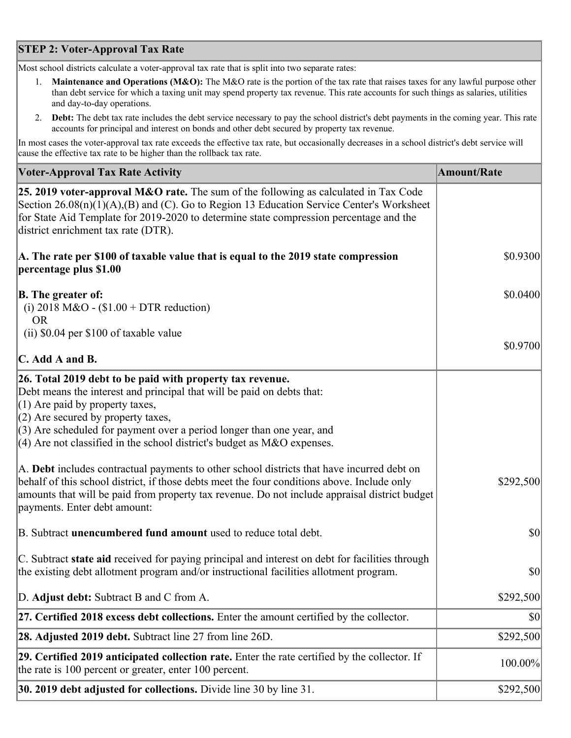# **STEP 2: Voter-Approval Tax Rate**

Most school districts calculate a voter-approval tax rate that is split into two separate rates:

- 1. **Maintenance and Operations (M&O):** The M&O rate is the portion of the tax rate that raises taxes for any lawful purpose other than debt service for which a taxing unit may spend property tax revenue. This rate accounts for such things as salaries, utilities and day-to-day operations.
- 2. **Debt:** The debt tax rate includes the debt service necessary to pay the school district's debt payments in the coming year. This rate accounts for principal and interest on bonds and other debt secured by property tax revenue.

In most cases the voter-approval tax rate exceeds the effective tax rate, but occasionally decreases in a school district's debt service will cause the effective tax rate to be higher than the rollback tax rate.

| <b>Voter-Approval Tax Rate Activity</b>                                                                                                                                                                                                                                                                                                                                  | <b>Amount/Rate</b> |
|--------------------------------------------------------------------------------------------------------------------------------------------------------------------------------------------------------------------------------------------------------------------------------------------------------------------------------------------------------------------------|--------------------|
| <b>25. 2019 voter-approval M&amp;O rate.</b> The sum of the following as calculated in Tax Code<br>Section $26.08(n)(1)(A),(B)$ and (C). Go to Region 13 Education Service Center's Worksheet<br>for State Aid Template for 2019-2020 to determine state compression percentage and the<br>district enrichment tax rate (DTR).                                           |                    |
| A. The rate per \$100 of taxable value that is equal to the 2019 state compression<br>percentage plus \$1.00                                                                                                                                                                                                                                                             | \$0.9300           |
| <b>B.</b> The greater of:<br>(i) 2018 M&O - $$1.00 + DTR$ reduction)<br><b>OR</b>                                                                                                                                                                                                                                                                                        | \$0.0400           |
| (ii) \$0.04 per \$100 of taxable value                                                                                                                                                                                                                                                                                                                                   |                    |
| $\mathbf C$ . Add A and B.                                                                                                                                                                                                                                                                                                                                               | \$0.9700           |
| 26. Total 2019 debt to be paid with property tax revenue.<br>Debt means the interest and principal that will be paid on debts that:<br>$(1)$ Are paid by property taxes,<br>$(2)$ Are secured by property taxes,<br>$(3)$ Are scheduled for payment over a period longer than one year, and<br>$(4)$ Are not classified in the school district's budget as M&O expenses. |                    |
| A. Debt includes contractual payments to other school districts that have incurred debt on<br>behalf of this school district, if those debts meet the four conditions above. Include only<br>amounts that will be paid from property tax revenue. Do not include appraisal district budget<br>payments. Enter debt amount:                                               | \$292,500          |
| B. Subtract unencumbered fund amount used to reduce total debt.                                                                                                                                                                                                                                                                                                          | $ 10\rangle$       |
| C. Subtract state aid received for paying principal and interest on debt for facilities through<br>the existing debt allotment program and/or instructional facilities allotment program.                                                                                                                                                                                | \$0                |
| D. Adjust debt: Subtract B and C from A.                                                                                                                                                                                                                                                                                                                                 | \$292,500          |
| 27. Certified 2018 excess debt collections. Enter the amount certified by the collector.                                                                                                                                                                                                                                                                                 | \$0                |
| 28. Adjusted 2019 debt. Subtract line 27 from line 26D.                                                                                                                                                                                                                                                                                                                  | \$292,500          |
| 29. Certified 2019 anticipated collection rate. Enter the rate certified by the collector. If<br>the rate is 100 percent or greater, enter 100 percent.                                                                                                                                                                                                                  | 100.00%            |
| <b>30. 2019 debt adjusted for collections.</b> Divide line 30 by line 31.                                                                                                                                                                                                                                                                                                | \$292,500          |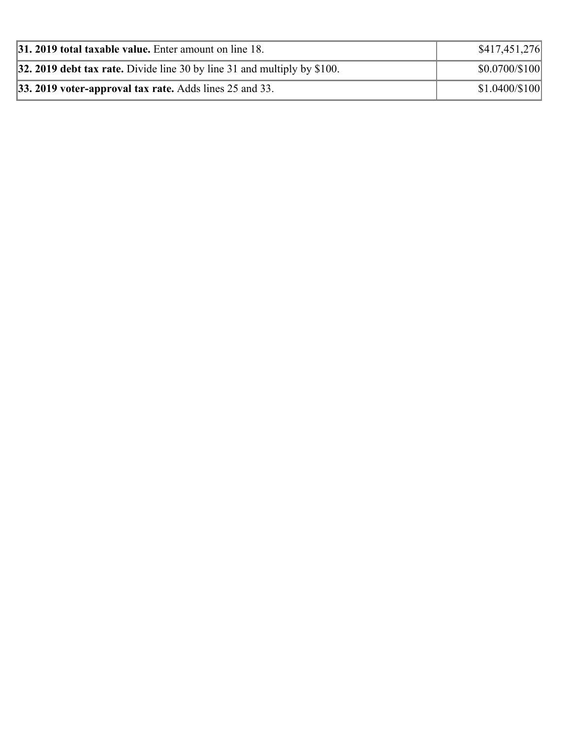| 31. 2019 total taxable value. Enter amount on line 18.                   | \$417,451,276        |
|--------------------------------------------------------------------------|----------------------|
| 32. 2019 debt tax rate. Divide line 30 by line 31 and multiply by \$100. | $$0.0700 \times 100$ |
| $ 33. 2019$ voter-approval tax rate. Adds lines 25 and 33.               | $$1.0400 \times 100$ |